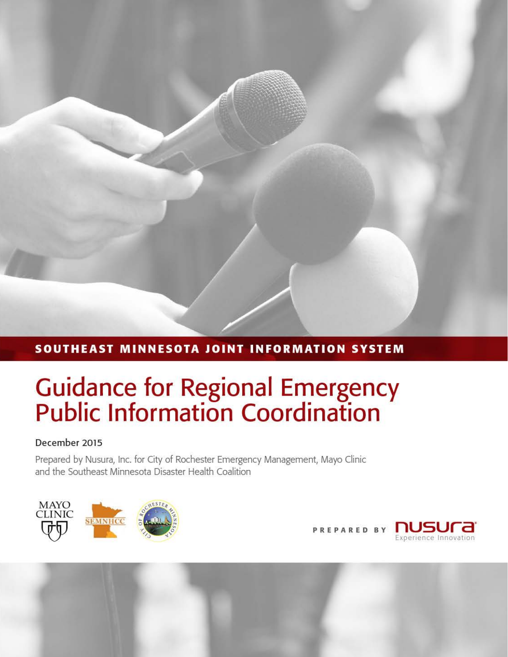## SOUTHEAST MINNESOTA JOINT INFORMATION SYSTEM

# **Guidance for Regional Emergency<br>Public Information Coordination**

### December 2015

Prepared by Nusura, Inc. for City of Rochester Emergency Management, Mayo Clinic and the Southeast Minnesota Disaster Health Coalition



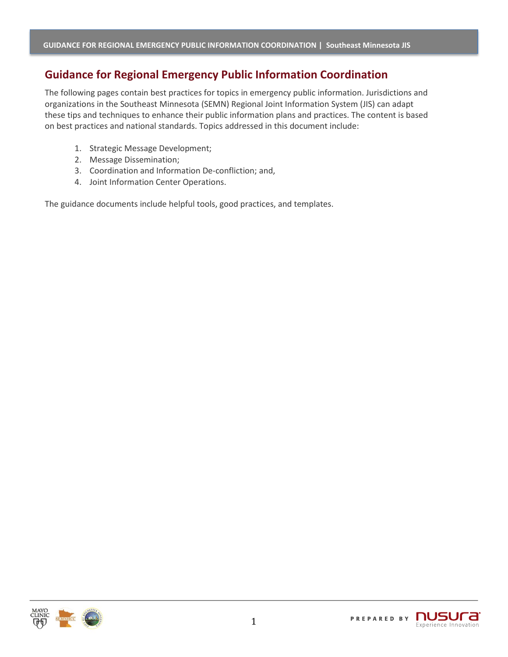## **Guidance for Regional Emergency Public Information Coordination**

The following pages contain best practices for topics in emergency public information. Jurisdictions and organizations in the Southeast Minnesota (SEMN) Regional Joint Information System (JIS) can adapt these tips and techniques to enhance their public information plans and practices. The content is based on best practices and national standards. Topics addressed in this document include:

- 1. Strategic Message Development;
- 2. Message Dissemination;
- 3. Coordination and Information De-confliction; and,
- 4. Joint Information Center Operations.

The guidance documents include helpful tools, good practices, and templates.

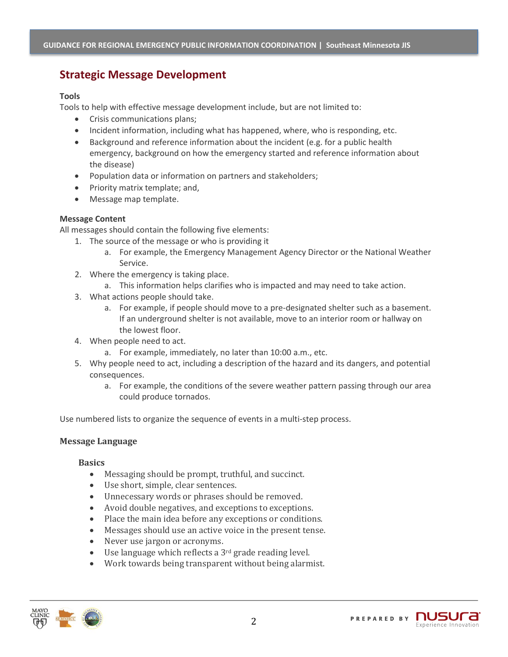## **Strategic Message Development**

#### **Tools**

Tools to help with effective message development include, but are not limited to:

- Crisis communications plans;
- Incident information, including what has happened, where, who is responding, etc.
- Background and reference information about the incident (e.g. for a public health emergency, background on how the emergency started and reference information about the disease)
- Population data or information on partners and stakeholders;
- Priority matrix template; and,
- Message map template.

#### **Message Content**

All messages should contain the following five elements:

- 1. The source of the message or who is providing it
	- a. For example, the Emergency Management Agency Director or the National Weather Service.
- 2. Where the emergency is taking place.
	- a. This information helps clarifies who is impacted and may need to take action.
- 3. What actions people should take.
	- a. For example, if people should move to a pre-designated shelter such as a basement. If an underground shelter is not available, move to an interior room or hallway on the lowest floor.
- 4. When people need to act.
	- a. For example, immediately, no later than 10:00 a.m., etc.
- 5. Why people need to act, including a description of the hazard and its dangers, and potential consequences.
	- a. For example, the conditions of the severe weather pattern passing through our area could produce tornados.

Use numbered lists to organize the sequence of events in a multi-step process.

#### **Message Language**

#### **Basics**

- Messaging should be prompt, truthful, and succinct.
- Use short, simple, clear sentences.
- Unnecessary words or phrases should be removed.
- Avoid double negatives, and exceptions to exceptions.
- Place the main idea before any exceptions or conditions.
- Messages should use an active voice in the present tense.
- Never use jargon or acronyms.
- Use language which reflects a 3<sup>rd</sup> grade reading level.
- Work towards being transparent without being alarmist.

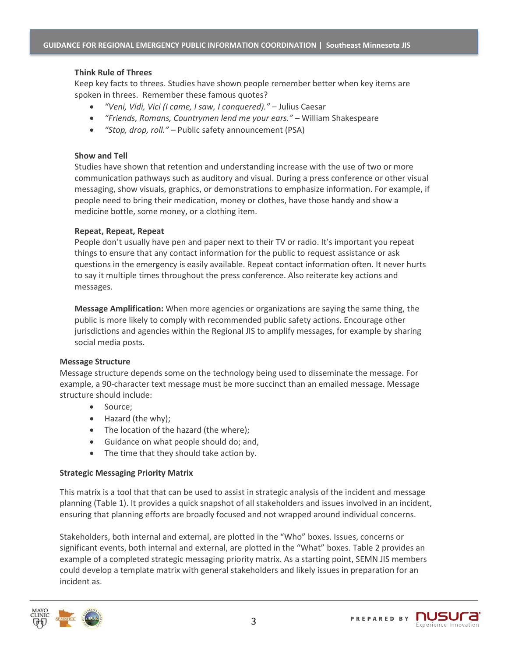#### **Think Rule of Threes**

Keep key facts to threes. Studies have shown people remember better when key items are spoken in threes. Remember these famous quotes?

- *"Veni, Vidi, Vici (I came, I saw, I conquered)." –* Julius Caesar
- *"Friends, Romans, Countrymen lend me your ears." –* William Shakespeare
- *"Stop, drop, roll." –* Public safety announcement (PSA)

#### **Show and Tell**

Studies have shown that retention and understanding increase with the use of two or more communication pathways such as auditory and visual. During a press conference or other visual messaging, show visuals, graphics, or demonstrations to emphasize information. For example, if people need to bring their medication, money or clothes, have those handy and show a medicine bottle, some money, or a clothing item.

#### **Repeat, Repeat, Repeat**

People don't usually have pen and paper next to their TV or radio. It's important you repeat things to ensure that any contact information for the public to request assistance or ask questions in the emergency is easily available. Repeat contact information often. It never hurts to say it multiple times throughout the press conference. Also reiterate key actions and messages.

**Message Amplification:** When more agencies or organizations are saying the same thing, the public is more likely to comply with recommended public safety actions. Encourage other jurisdictions and agencies within the Regional JIS to amplify messages, for example by sharing social media posts.

#### **Message Structure**

Message structure depends some on the technology being used to disseminate the message. For example, a 90-character text message must be more succinct than an emailed message. Message structure should include:

- Source;
- Hazard (the why);
- The location of the hazard (the where);
- Guidance on what people should do; and,
- The time that they should take action by.

#### **Strategic Messaging Priority Matrix**

This matrix is a tool that that can be used to assist in strategic analysis of the incident and message planning (Table 1). It provides a quick snapshot of all stakeholders and issues involved in an incident, ensuring that planning efforts are broadly focused and not wrapped around individual concerns.

Stakeholders, both internal and external, are plotted in the "Who" boxes. Issues, concerns or significant events, both internal and external, are plotted in the "What" boxes. Table 2 provides an example of a completed strategic messaging priority matrix. As a starting point, SEMN JIS members could develop a template matrix with general stakeholders and likely issues in preparation for an incident as.



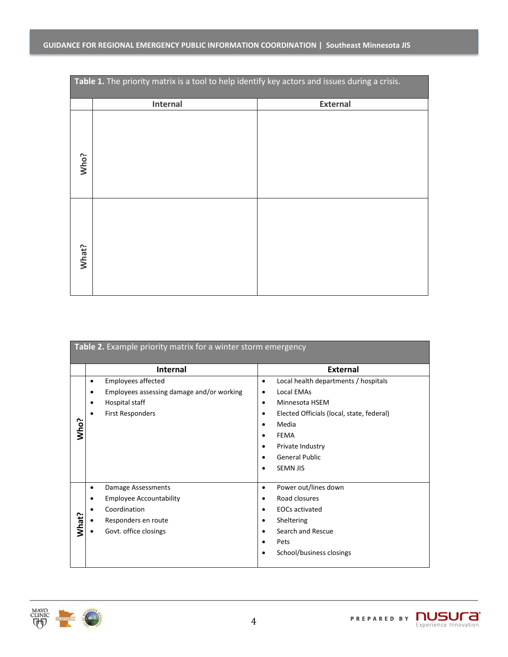| Table 1. The priority matrix is a tool to help identify key actors and issues during a crisis. |          |                 |
|------------------------------------------------------------------------------------------------|----------|-----------------|
|                                                                                                | Internal | <b>External</b> |
| Who?                                                                                           |          |                 |
| What?                                                                                          |          |                 |

| Table 2. Example priority matrix for a winter storm emergency |                                                                                                                                    |                                                                                                                                                                                                                                                                                         |  |  |
|---------------------------------------------------------------|------------------------------------------------------------------------------------------------------------------------------------|-----------------------------------------------------------------------------------------------------------------------------------------------------------------------------------------------------------------------------------------------------------------------------------------|--|--|
|                                                               | <b>Internal</b>                                                                                                                    | <b>External</b>                                                                                                                                                                                                                                                                         |  |  |
| Who?                                                          | <b>Employees affected</b><br>٠<br>Employees assessing damage and/or working<br>Hospital staff<br>٠<br><b>First Responders</b><br>٠ | Local health departments / hospitals<br>٠<br>Local EMAs<br>٠<br>Minnesota HSEM<br>$\bullet$<br>Elected Officials (local, state, federal)<br>$\bullet$<br>Media<br>$\bullet$<br>FEMA<br>$\bullet$<br>Private Industry<br>٠<br><b>General Public</b><br>$\bullet$<br><b>SEMN JIS</b><br>٠ |  |  |
| What?                                                         | Damage Assessments<br>٠<br><b>Employee Accountability</b><br>Coordination<br>Responders en route<br>Govt. office closings          | Power out/lines down<br>$\bullet$<br>Road closures<br>٠<br><b>EOCs activated</b><br>$\bullet$<br>Sheltering<br>٠<br>Search and Rescue<br>$\bullet$<br>Pets<br>$\bullet$<br>School/business closings<br>$\bullet$                                                                        |  |  |

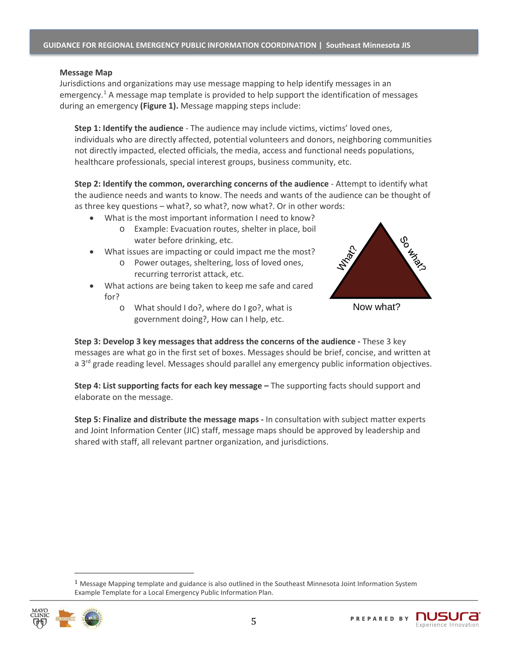#### **Message Map**

Jurisdictions and organizations may use message mapping to help identify messages in an emergency.<sup>[1](#page-5-0)</sup> A message map template is provided to help support the identification of messages during an emergency **(Figure 1).** Message mapping steps include:

**Step 1: Identify the audience** - The audience may include victims, victims' loved ones, individuals who are directly affected, potential volunteers and donors, neighboring communities not directly impacted, elected officials, the media, access and functional needs populations, healthcare professionals, special interest groups, business community, etc.

**Step 2: Identify the common, overarching concerns of the audience** - Attempt to identify what the audience needs and wants to know. The needs and wants of the audience can be thought of as three key questions – what?, so what?, now what?. Or in other words:

- What is the most important information I need to know?
	- o Example: Evacuation routes, shelter in place, boil water before drinking, etc.
- What issues are impacting or could impact me the most?
	- o Power outages, sheltering, loss of loved ones, recurring terrorist attack, etc.
- What actions are being taken to keep me safe and cared for?
	- o What should I do?, where do I go?, what is government doing?, How can I help, etc.



Now what?

**Step 3: Develop 3 key messages that address the concerns of the audience -** These 3 key messages are what go in the first set of boxes. Messages should be brief, concise, and written at a 3<sup>rd</sup> grade reading level. Messages should parallel any emergency public information objectives.

**Step 4: List supporting facts for each key message –** The supporting facts should support and elaborate on the message.

**Step 5: Finalize and distribute the message maps -** In consultation with subject matter experts and Joint Information Center (JIC) staff, message maps should be approved by leadership and shared with staff, all relevant partner organization, and jurisdictions.

<span id="page-5-0"></span> $1$  Message Mapping template and guidance is also outlined in the Southeast Minnesota Joint Information System Example Template for a Local Emergency Public Information Plan.

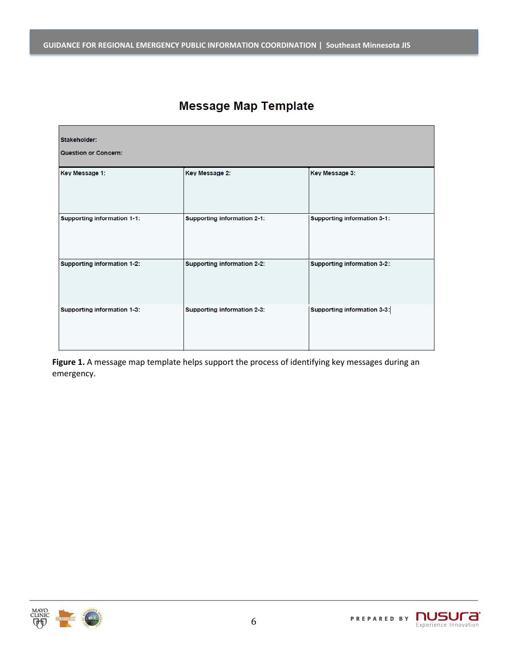# **Message Map Template**

| Stakeholder:<br><b>Question or Concern:</b> |                                    |                                    |  |  |  |
|---------------------------------------------|------------------------------------|------------------------------------|--|--|--|
| Key Message 1:                              | Key Message 2:                     | Key Message 3:                     |  |  |  |
| <b>Supporting information 1-1:</b>          | <b>Supporting information 2-1:</b> | <b>Supporting information 3-1:</b> |  |  |  |
| <b>Supporting information 1-2:</b>          | Supporting information 2-2:        | <b>Supporting information 3-2:</b> |  |  |  |
| Supporting information 1-3:                 | Supporting information 2-3:        | Supporting information 3-3:        |  |  |  |

**Figure 1.** A message map template helps support the process of identifying key messages during an emergency.

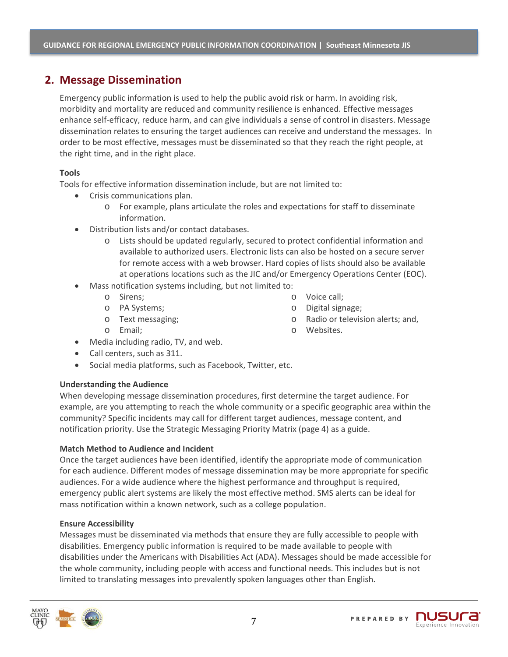## **2. Message Dissemination**

Emergency public information is used to help the public avoid risk or harm. In avoiding risk, morbidity and mortality are reduced and community resilience is enhanced. Effective messages enhance self-efficacy, reduce harm, and can give individuals a sense of control in disasters. Message dissemination relates to ensuring the target audiences can receive and understand the messages. In order to be most effective, messages must be disseminated so that they reach the right people, at the right time, and in the right place.

#### **Tools**

Tools for effective information dissemination include, but are not limited to:

- Crisis communications plan.
	- o For example, plans articulate the roles and expectations for staff to disseminate information.
- Distribution lists and/or contact databases.
	- o Lists should be updated regularly, secured to protect confidential information and available to authorized users. Electronic lists can also be hosted on a secure server for remote access with a web browser. Hard copies of lists should also be available at operations locations such as the JIC and/or Emergency Operations Center (EOC).
- Mass notification systems including, but not limited to:
	- o Sirens;
	- o PA Systems;
	- o Text messaging;
	- o Email;
- o Voice call;
- o Digital signage;
- o Radio or television alerts; and,
- o Websites.
- Media including radio, TV, and web.
- Call centers, such as 311.
- Social media platforms, such as Facebook, Twitter, etc.

#### **Understanding the Audience**

When developing message dissemination procedures, first determine the target audience. For example, are you attempting to reach the whole community or a specific geographic area within the community? Specific incidents may call for different target audiences, message content, and notification priority. Use the Strategic Messaging Priority Matrix (page 4) as a guide.

#### **Match Method to Audience and Incident**

Once the target audiences have been identified, identify the appropriate mode of communication for each audience. Different modes of message dissemination may be more appropriate for specific audiences. For a wide audience where the highest performance and throughput is required, emergency public alert systems are likely the most effective method. SMS alerts can be ideal for mass notification within a known network, such as a college population.

#### **Ensure Accessibility**

Messages must be disseminated via methods that ensure they are fully accessible to people with disabilities. Emergency public information is required to be made available to people with disabilities under the Americans with Disabilities Act (ADA). Messages should be made accessible for the whole community, including people with access and functional needs. This includes but is not limited to translating messages into prevalently spoken languages other than English.

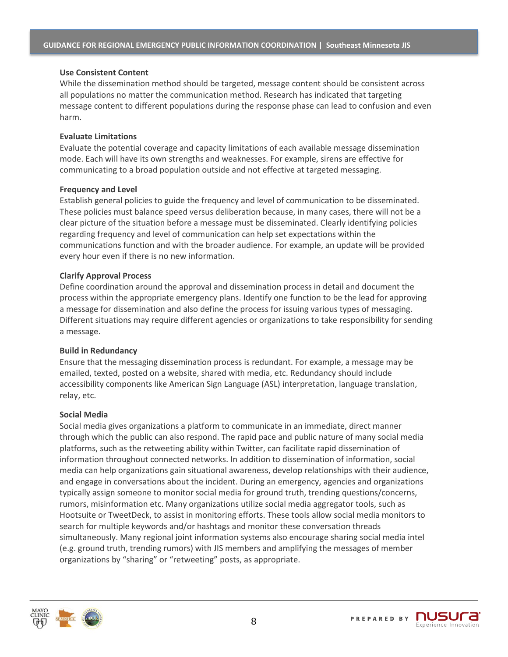#### **Use Consistent Content**

While the dissemination method should be targeted, message content should be consistent across all populations no matter the communication method. Research has indicated that targeting message content to different populations during the response phase can lead to confusion and even harm.

#### **Evaluate Limitations**

Evaluate the potential coverage and capacity limitations of each available message dissemination mode. Each will have its own strengths and weaknesses. For example, sirens are effective for communicating to a broad population outside and not effective at targeted messaging.

#### **Frequency and Level**

Establish general policies to guide the frequency and level of communication to be disseminated. These policies must balance speed versus deliberation because, in many cases, there will not be a clear picture of the situation before a message must be disseminated. Clearly identifying policies regarding frequency and level of communication can help set expectations within the communications function and with the broader audience. For example, an update will be provided every hour even if there is no new information.

#### **Clarify Approval Process**

Define coordination around the approval and dissemination process in detail and document the process within the appropriate emergency plans. Identify one function to be the lead for approving a message for dissemination and also define the process for issuing various types of messaging. Different situations may require different agencies or organizations to take responsibility for sending a message.

#### **Build in Redundancy**

Ensure that the messaging dissemination process is redundant. For example, a message may be emailed, texted, posted on a website, shared with media, etc. Redundancy should include accessibility components like American Sign Language (ASL) interpretation, language translation, relay, etc.

#### **Social Media**

Social media gives organizations a platform to communicate in an immediate, direct manner through which the public can also respond. The rapid pace and public nature of many social media platforms, such as the retweeting ability within Twitter, can facilitate rapid dissemination of information throughout connected networks. In addition to dissemination of information, social media can help organizations gain situational awareness, develop relationships with their audience, and engage in conversations about the incident. During an emergency, agencies and organizations typically assign someone to monitor social media for ground truth, trending questions/concerns, rumors, misinformation etc. Many organizations utilize social media aggregator tools, such as Hootsuite or TweetDeck, to assist in monitoring efforts. These tools allow social media monitors to search for multiple keywords and/or hashtags and monitor these conversation threads simultaneously. Many regional joint information systems also encourage sharing social media intel (e.g. ground truth, trending rumors) with JIS members and amplifying the messages of member organizations by "sharing" or "retweeting" posts, as appropriate.

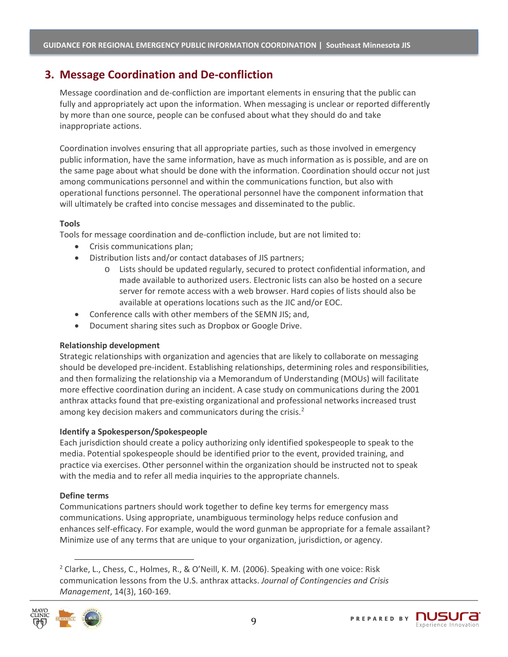## **3. Message Coordination and De-confliction**

Message coordination and de-confliction are important elements in ensuring that the public can fully and appropriately act upon the information. When messaging is unclear or reported differently by more than one source, people can be confused about what they should do and take inappropriate actions.

Coordination involves ensuring that all appropriate parties, such as those involved in emergency public information, have the same information, have as much information as is possible, and are on the same page about what should be done with the information. Coordination should occur not just among communications personnel and within the communications function, but also with operational functions personnel. The operational personnel have the component information that will ultimately be crafted into concise messages and disseminated to the public.

#### **Tools**

Tools for message coordination and de-confliction include, but are not limited to:

- Crisis communications plan;
- Distribution lists and/or contact databases of JIS partners;
	- Lists should be updated regularly, secured to protect confidential information, and made available to authorized users. Electronic lists can also be hosted on a secure server for remote access with a web browser. Hard copies of lists should also be available at operations locations such as the JIC and/or EOC.
- Conference calls with other members of the SEMN JIS; and,
- Document sharing sites such as Dropbox or Google Drive.

#### **Relationship development**

Strategic relationships with organization and agencies that are likely to collaborate on messaging should be developed pre-incident. Establishing relationships, determining roles and responsibilities, and then formalizing the relationship via a Memorandum of Understanding (MOUs) will facilitate more effective coordination during an incident. A case study on communications during the 2001 anthrax attacks found that pre-existing organizational and professional networks increased trust among key decision makers and communicators during the crisis.<sup>[2](#page-9-0)</sup>

#### **Identify a Spokesperson/Spokespeople**

Each jurisdiction should create a policy authorizing only identified spokespeople to speak to the media. Potential spokespeople should be identified prior to the event, provided training, and practice via exercises. Other personnel within the organization should be instructed not to speak with the media and to refer all media inquiries to the appropriate channels.

#### **Define terms**

Communications partners should work together to define key terms for emergency mass communications. Using appropriate, unambiguous terminology helps reduce confusion and enhances self-efficacy. For example, would the word gunman be appropriate for a female assailant? Minimize use of any terms that are unique to your organization, jurisdiction, or agency.

<span id="page-9-0"></span><sup>2</sup> Clarke, L., Chess, C., Holmes, R., & O'Neill, K. M. (2006). Speaking with one voice: Risk communication lessons from the U.S. anthrax attacks. *Journal of Contingencies and Crisis Management*, 14(3), 160-169.



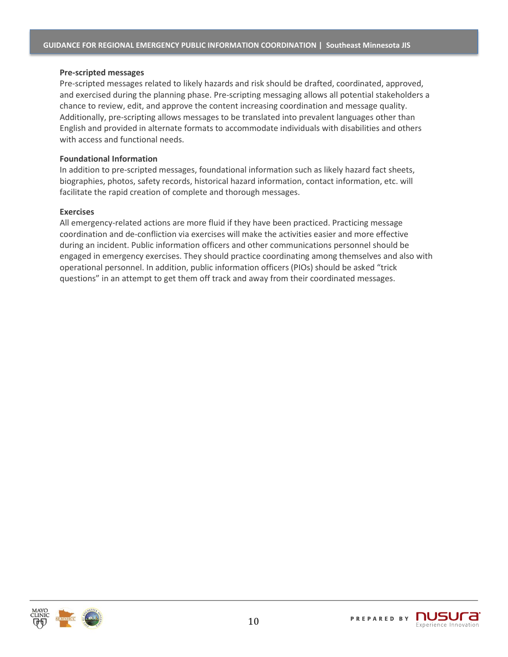#### **Pre-scripted messages**

Pre-scripted messages related to likely hazards and risk should be drafted, coordinated, approved, and exercised during the planning phase. Pre-scripting messaging allows all potential stakeholders a chance to review, edit, and approve the content increasing coordination and message quality. Additionally, pre-scripting allows messages to be translated into prevalent languages other than English and provided in alternate formats to accommodate individuals with disabilities and others with access and functional needs.

#### **Foundational Information**

In addition to pre-scripted messages, foundational information such as likely hazard fact sheets, biographies, photos, safety records, historical hazard information, contact information, etc. will facilitate the rapid creation of complete and thorough messages.

#### **Exercises**

All emergency-related actions are more fluid if they have been practiced. Practicing message coordination and de-confliction via exercises will make the activities easier and more effective during an incident. Public information officers and other communications personnel should be engaged in emergency exercises. They should practice coordinating among themselves and also with operational personnel. In addition, public information officers (PIOs) should be asked "trick questions" in an attempt to get them off track and away from their coordinated messages.

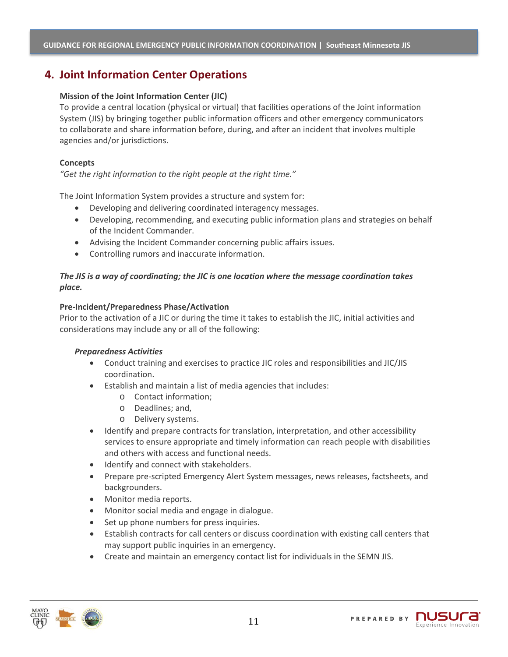## **4. Joint Information Center Operations**

#### **Mission of the Joint Information Center (JIC)**

To provide a central location (physical or virtual) that facilities operations of the Joint information System (JIS) by bringing together public information officers and other emergency communicators to collaborate and share information before, during, and after an incident that involves multiple agencies and/or jurisdictions.

#### **Concepts**

*"Get the right information to the right people at the right time."*

The Joint Information System provides a structure and system for:

- Developing and delivering coordinated interagency messages.
- Developing, recommending, and executing public information plans and strategies on behalf of the Incident Commander.
- Advising the Incident Commander concerning public affairs issues.
- Controlling rumors and inaccurate information.

#### *The JIS is a way of coordinating; the JIC is one location where the message coordination takes place.*

#### **Pre-Incident/Preparedness Phase/Activation**

Prior to the activation of a JIC or during the time it takes to establish the JIC, initial activities and considerations may include any or all of the following:

#### *Preparedness Activities*

- Conduct training and exercises to practice JIC roles and responsibilities and JIC/JIS coordination.
- Establish and maintain a list of media agencies that includes:
	- o Contact information;
	- o Deadlines; and,
	- o Delivery systems.
- Identify and prepare contracts for translation, interpretation, and other accessibility services to ensure appropriate and timely information can reach people with disabilities and others with access and functional needs.
- Identify and connect with stakeholders.
- Prepare pre-scripted Emergency Alert System messages, news releases, factsheets, and backgrounders.
- Monitor media reports.
- Monitor social media and engage in dialogue.
- Set up phone numbers for press inquiries.
- Establish contracts for call centers or discuss coordination with existing call centers that may support public inquiries in an emergency.
- Create and maintain an emergency contact list for individuals in the SEMN JIS.

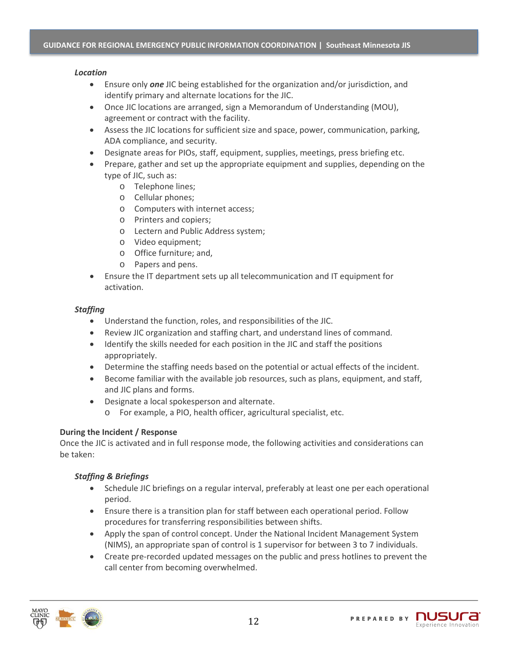#### *Location*

- Ensure only *one* JIC being established for the organization and/or jurisdiction, and identify primary and alternate locations for the JIC.
- Once JIC locations are arranged, sign a Memorandum of Understanding (MOU), agreement or contract with the facility.
- Assess the JIC locations for sufficient size and space, power, communication, parking, ADA compliance, and security.
- Designate areas for PIOs, staff, equipment, supplies, meetings, press briefing etc.
- Prepare, gather and set up the appropriate equipment and supplies, depending on the type of JIC, such as:
	- o Telephone lines;
	- o Cellular phones;
	- o Computers with internet access;
	- o Printers and copiers;
	- o Lectern and Public Address system;
	- o Video equipment;
	- o Office furniture; and,
	- o Papers and pens.
- Ensure the IT department sets up all telecommunication and IT equipment for activation.

#### *Staffing*

- Understand the function, roles, and responsibilities of the JIC.
- Review JIC organization and staffing chart, and understand lines of command.
- Identify the skills needed for each position in the JIC and staff the positions appropriately.
- Determine the staffing needs based on the potential or actual effects of the incident.
- Become familiar with the available job resources, such as plans, equipment, and staff, and JIC plans and forms.
- Designate a local spokesperson and alternate.
	- o For example, a PIO, health officer, agricultural specialist, etc.

#### **During the Incident / Response**

Once the JIC is activated and in full response mode, the following activities and considerations can be taken:

#### *Staffing & Briefings*

- Schedule JIC briefings on a regular interval, preferably at least one per each operational period.
- Ensure there is a transition plan for staff between each operational period. Follow procedures for transferring responsibilities between shifts.
- Apply the span of control concept. Under the National Incident Management System (NIMS), an appropriate span of control is 1 supervisor for between 3 to 7 individuals.
- Create pre-recorded updated messages on the public and press hotlines to prevent the call center from becoming overwhelmed.

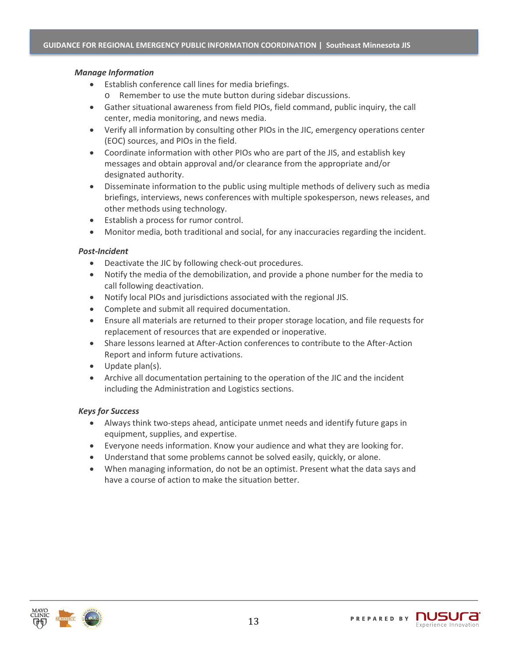#### *Manage Information*

- Establish conference call lines for media briefings.
	- o Remember to use the mute button during sidebar discussions.
- Gather situational awareness from field PIOs, field command, public inquiry, the call center, media monitoring, and news media.
- Verify all information by consulting other PIOs in the JIC, emergency operations center (EOC) sources, and PIOs in the field.
- Coordinate information with other PIOs who are part of the JIS, and establish key messages and obtain approval and/or clearance from the appropriate and/or designated authority.
- Disseminate information to the public using multiple methods of delivery such as media briefings, interviews, news conferences with multiple spokesperson, news releases, and other methods using technology.
- Establish a process for rumor control.
- Monitor media, both traditional and social, for any inaccuracies regarding the incident.

#### *Post-Incident*

- Deactivate the JIC by following check-out procedures.
- Notify the media of the demobilization, and provide a phone number for the media to call following deactivation.
- Notify local PIOs and jurisdictions associated with the regional JIS.
- Complete and submit all required documentation.
- Ensure all materials are returned to their proper storage location, and file requests for replacement of resources that are expended or inoperative.
- Share lessons learned at After-Action conferences to contribute to the After-Action Report and inform future activations.
- Update plan(s).
- Archive all documentation pertaining to the operation of the JIC and the incident including the Administration and Logistics sections.

#### *Keys for Success*

- Always think two-steps ahead, anticipate unmet needs and identify future gaps in equipment, supplies, and expertise.
- Everyone needs information. Know your audience and what they are looking for.
- Understand that some problems cannot be solved easily, quickly, or alone.
- When managing information, do not be an optimist. Present what the data says and have a course of action to make the situation better.

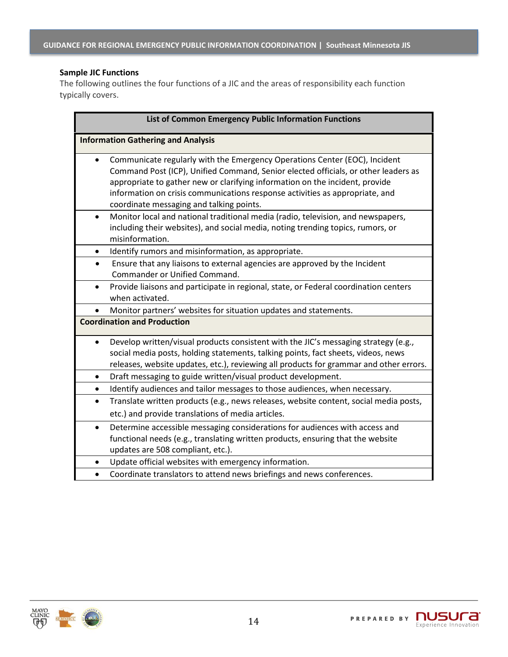#### **Sample JIC Functions**

The following outlines the four functions of a JIC and the areas of responsibility each function typically covers.

| List of Common Emergency Public Information Functions                                                                                                                                                                                                                                                                                                                        |  |  |  |  |
|------------------------------------------------------------------------------------------------------------------------------------------------------------------------------------------------------------------------------------------------------------------------------------------------------------------------------------------------------------------------------|--|--|--|--|
| <b>Information Gathering and Analysis</b>                                                                                                                                                                                                                                                                                                                                    |  |  |  |  |
| Communicate regularly with the Emergency Operations Center (EOC), Incident<br>Command Post (ICP), Unified Command, Senior elected officials, or other leaders as<br>appropriate to gather new or clarifying information on the incident, provide<br>information on crisis communications response activities as appropriate, and<br>coordinate messaging and talking points. |  |  |  |  |
| Monitor local and national traditional media (radio, television, and newspapers,<br>$\bullet$<br>including their websites), and social media, noting trending topics, rumors, or<br>misinformation.                                                                                                                                                                          |  |  |  |  |
| Identify rumors and misinformation, as appropriate.<br>$\bullet$                                                                                                                                                                                                                                                                                                             |  |  |  |  |
| Ensure that any liaisons to external agencies are approved by the Incident<br>$\bullet$<br>Commander or Unified Command.                                                                                                                                                                                                                                                     |  |  |  |  |
| Provide liaisons and participate in regional, state, or Federal coordination centers<br>$\bullet$<br>when activated.                                                                                                                                                                                                                                                         |  |  |  |  |
| Monitor partners' websites for situation updates and statements.<br>$\bullet$                                                                                                                                                                                                                                                                                                |  |  |  |  |
| <b>Coordination and Production</b>                                                                                                                                                                                                                                                                                                                                           |  |  |  |  |
| Develop written/visual products consistent with the JIC's messaging strategy (e.g.,<br>$\bullet$<br>social media posts, holding statements, talking points, fact sheets, videos, news<br>releases, website updates, etc.), reviewing all products for grammar and other errors.                                                                                              |  |  |  |  |
| Draft messaging to guide written/visual product development.<br>$\bullet$                                                                                                                                                                                                                                                                                                    |  |  |  |  |
| Identify audiences and tailor messages to those audiences, when necessary.<br>$\bullet$                                                                                                                                                                                                                                                                                      |  |  |  |  |
| Translate written products (e.g., news releases, website content, social media posts,<br>$\bullet$                                                                                                                                                                                                                                                                           |  |  |  |  |
| etc.) and provide translations of media articles.                                                                                                                                                                                                                                                                                                                            |  |  |  |  |
| Determine accessible messaging considerations for audiences with access and<br>$\bullet$<br>functional needs (e.g., translating written products, ensuring that the website<br>updates are 508 compliant, etc.).                                                                                                                                                             |  |  |  |  |
| Update official websites with emergency information.                                                                                                                                                                                                                                                                                                                         |  |  |  |  |
| Coordinate translators to attend news briefings and news conferences.<br>$\bullet$                                                                                                                                                                                                                                                                                           |  |  |  |  |

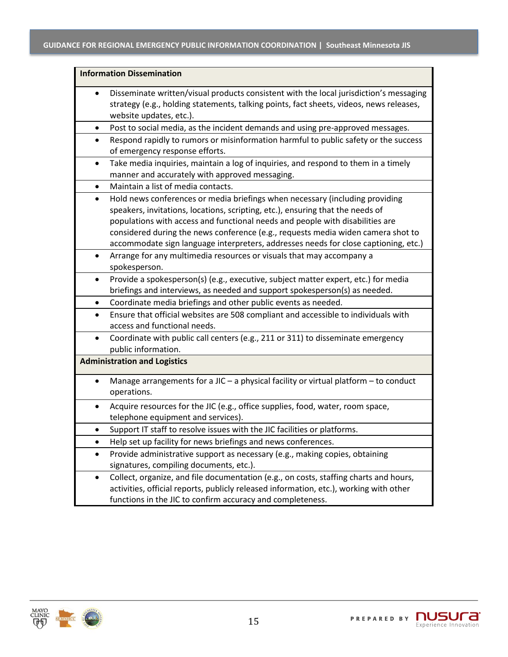| <b>Information Dissemination</b>                                                                                                                                                                                                                                                                                                                                                                                                        |  |  |  |
|-----------------------------------------------------------------------------------------------------------------------------------------------------------------------------------------------------------------------------------------------------------------------------------------------------------------------------------------------------------------------------------------------------------------------------------------|--|--|--|
| Disseminate written/visual products consistent with the local jurisdiction's messaging<br>strategy (e.g., holding statements, talking points, fact sheets, videos, news releases,<br>website updates, etc.).                                                                                                                                                                                                                            |  |  |  |
| Post to social media, as the incident demands and using pre-approved messages.<br>٠                                                                                                                                                                                                                                                                                                                                                     |  |  |  |
| Respond rapidly to rumors or misinformation harmful to public safety or the success<br>$\bullet$<br>of emergency response efforts.                                                                                                                                                                                                                                                                                                      |  |  |  |
| Take media inquiries, maintain a log of inquiries, and respond to them in a timely<br>٠<br>manner and accurately with approved messaging.                                                                                                                                                                                                                                                                                               |  |  |  |
| Maintain a list of media contacts.<br>$\bullet$                                                                                                                                                                                                                                                                                                                                                                                         |  |  |  |
| Hold news conferences or media briefings when necessary (including providing<br>$\bullet$<br>speakers, invitations, locations, scripting, etc.), ensuring that the needs of<br>populations with access and functional needs and people with disabilities are<br>considered during the news conference (e.g., requests media widen camera shot to<br>accommodate sign language interpreters, addresses needs for close captioning, etc.) |  |  |  |
| Arrange for any multimedia resources or visuals that may accompany a<br>$\bullet$<br>spokesperson.                                                                                                                                                                                                                                                                                                                                      |  |  |  |
| Provide a spokesperson(s) (e.g., executive, subject matter expert, etc.) for media<br>$\bullet$<br>briefings and interviews, as needed and support spokesperson(s) as needed.                                                                                                                                                                                                                                                           |  |  |  |
| Coordinate media briefings and other public events as needed.<br>٠                                                                                                                                                                                                                                                                                                                                                                      |  |  |  |
| Ensure that official websites are 508 compliant and accessible to individuals with<br>$\bullet$<br>access and functional needs.                                                                                                                                                                                                                                                                                                         |  |  |  |
| Coordinate with public call centers (e.g., 211 or 311) to disseminate emergency<br>$\bullet$<br>public information.                                                                                                                                                                                                                                                                                                                     |  |  |  |
| <b>Administration and Logistics</b>                                                                                                                                                                                                                                                                                                                                                                                                     |  |  |  |
| Manage arrangements for a JIC - a physical facility or virtual platform - to conduct<br>operations.                                                                                                                                                                                                                                                                                                                                     |  |  |  |
| Acquire resources for the JIC (e.g., office supplies, food, water, room space,<br>telephone equipment and services).                                                                                                                                                                                                                                                                                                                    |  |  |  |
| Support IT staff to resolve issues with the JIC facilities or platforms.                                                                                                                                                                                                                                                                                                                                                                |  |  |  |
| Help set up facility for news briefings and news conferences.                                                                                                                                                                                                                                                                                                                                                                           |  |  |  |
| Provide administrative support as necessary (e.g., making copies, obtaining<br>$\bullet$<br>signatures, compiling documents, etc.).                                                                                                                                                                                                                                                                                                     |  |  |  |
| Collect, organize, and file documentation (e.g., on costs, staffing charts and hours,<br>$\bullet$<br>activities, official reports, publicly released information, etc.), working with other<br>functions in the JIC to confirm accuracy and completeness.                                                                                                                                                                              |  |  |  |